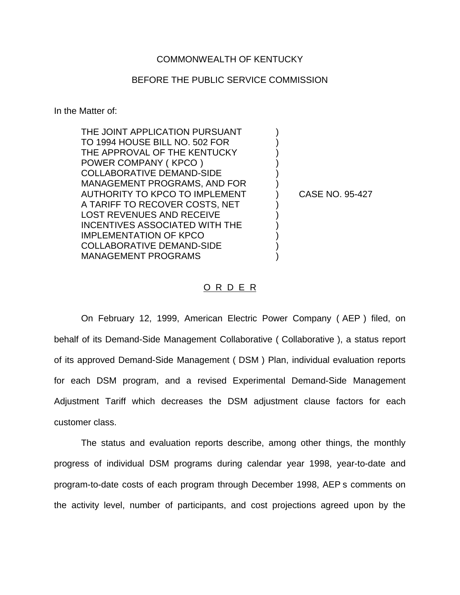## COMMONWEALTH OF KENTUCKY

## BEFORE THE PUBLIC SERVICE COMMISSION

In the Matter of:

| THE JOINT APPLICATION PURSUANT   |                        |  |
|----------------------------------|------------------------|--|
| TO 1994 HOUSE BILL NO. 502 FOR   |                        |  |
| THE APPROVAL OF THE KENTUCKY     |                        |  |
| POWER COMPANY (KPCO)             |                        |  |
| <b>COLLABORATIVE DEMAND-SIDE</b> |                        |  |
| MANAGEMENT PROGRAMS, AND FOR     |                        |  |
| AUTHORITY TO KPCO TO IMPLEMENT   | <b>CASE NO. 95-427</b> |  |
| A TARIFF TO RECOVER COSTS, NET   |                        |  |
| <b>LOST REVENUES AND RECEIVE</b> |                        |  |
| INCENTIVES ASSOCIATED WITH THE   |                        |  |
| <b>IMPLEMENTATION OF KPCO</b>    |                        |  |
| <b>COLLABORATIVE DEMAND-SIDE</b> |                        |  |
| <b>MANAGEMENT PROGRAMS</b>       |                        |  |

## O R D E R

On February 12, 1999, American Electric Power Company ( AEP ) filed, on behalf of its Demand-Side Management Collaborative ( Collaborative ), a status report of its approved Demand-Side Management ( DSM ) Plan, individual evaluation reports for each DSM program, and a revised Experimental Demand-Side Management Adjustment Tariff which decreases the DSM adjustment clause factors for each customer class.

The status and evaluation reports describe, among other things, the monthly progress of individual DSM programs during calendar year 1998, year-to-date and program-to-date costs of each program through December 1998, AEP s comments on the activity level, number of participants, and cost projections agreed upon by the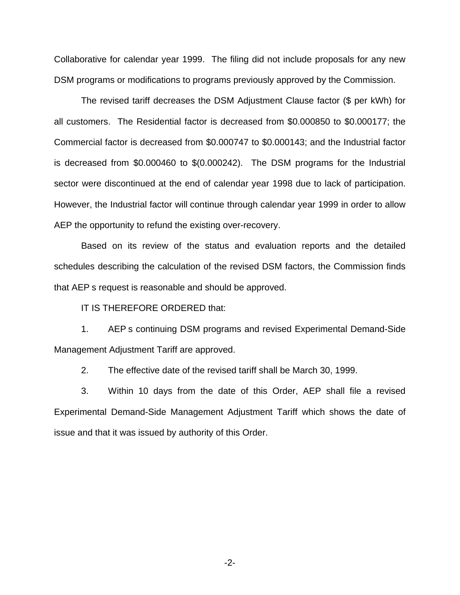Collaborative for calendar year 1999. The filing did not include proposals for any new DSM programs or modifications to programs previously approved by the Commission.

The revised tariff decreases the DSM Adjustment Clause factor (\$ per kWh) for all customers. The Residential factor is decreased from \$0.000850 to \$0.000177; the Commercial factor is decreased from \$0.000747 to \$0.000143; and the Industrial factor is decreased from \$0.000460 to \$(0.000242). The DSM programs for the Industrial sector were discontinued at the end of calendar year 1998 due to lack of participation. However, the Industrial factor will continue through calendar year 1999 in order to allow AEP the opportunity to refund the existing over-recovery.

Based on its review of the status and evaluation reports and the detailed schedules describing the calculation of the revised DSM factors, the Commission finds that AEP s request is reasonable and should be approved.

IT IS THEREFORE ORDERED that:

1. AEP s continuing DSM programs and revised Experimental Demand-Side Management Adjustment Tariff are approved.

2. The effective date of the revised tariff shall be March 30, 1999.

3. Within 10 days from the date of this Order, AEP shall file a revised Experimental Demand-Side Management Adjustment Tariff which shows the date of issue and that it was issued by authority of this Order.

-2-